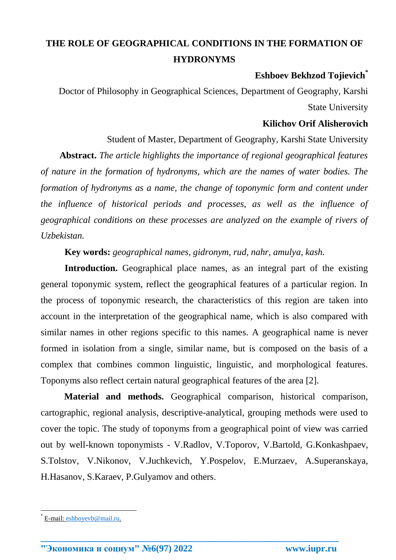## **THE ROLE OF GEOGRAPHICAL CONDITIONS IN THE FORMATION OF HYDRONYMS**

## **Eshboev Bekhzod Tojievich\***

Doctor of Philosophy in Geographical Sciences, Department of Geography, Karshi State University

## **Kilichov Orif Alisherovich**

Student of Master, Department of Geography, Karshi State University

**Abstract.** *The article highlights the importance of regional geographical features of nature in the formation of hydronyms, which are the names of water bodies. The formation of hydronyms as a name, the change of toponymic form and content under the influence of historical periods and processes, as well as the influence of geographical conditions on these processes are analyzed on the example of rivers of Uzbekistan.*

**Key words:** *geographical names, gidronym, rud, nahr, amulya, kash.*

**Introduction.** Geographical place names, as an integral part of the existing general toponymic system, reflect the geographical features of a particular region. In the process of toponymic research, the characteristics of this region are taken into account in the interpretation of the geographical name, which is also compared with similar names in other regions specific to this names. A geographical name is never formed in isolation from a single, similar name, but is composed on the basis of a complex that combines common linguistic, linguistic, and morphological features. Toponyms also reflect certain natural geographical features of the area [2].

**Material and methods.** Geographical comparison, historical comparison, cartographic, regional analysis, descriptive-analytical, grouping methods were used to cover the topic. The study of toponyms from a geographical point of view was carried out by well-known toponymists - V.Radlov, V.Toporov, V.Bartold, G.Konkashpaev, S.Tolstov, V.Nikonov, V.Juchkevich, Y.Pospelov, E.Murzaev, A.Superanskaya, H.Hasanov, S.Karaev, P.Gulyamov and others.

**\_\_\_\_\_\_\_\_\_\_\_\_\_\_\_\_\_\_\_\_\_\_\_\_\_\_\_\_\_\_\_\_\_\_\_\_\_\_\_\_\_\_\_\_\_\_\_\_\_\_\_\_\_\_\_\_\_\_\_\_\_\_\_\_**

 $\overline{\phantom{a}}$ 

<sup>\*</sup> E-mail: [eshboyevb@mail.ru.](mailto:eshboyevb@mail.ru)

**<sup>&</sup>quot;Экономика и социум" №6(97) 2022 www.iupr.ru**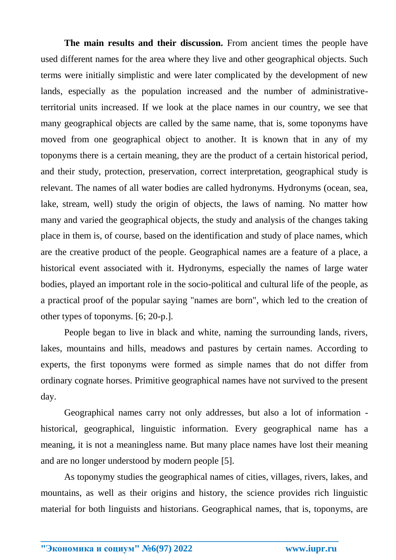**The main results and their discussion.** From ancient times the people have used different names for the area where they live and other geographical objects. Such terms were initially simplistic and were later complicated by the development of new lands, especially as the population increased and the number of administrativeterritorial units increased. If we look at the place names in our country, we see that many geographical objects are called by the same name, that is, some toponyms have moved from one geographical object to another. It is known that in any of my toponyms there is a certain meaning, they are the product of a certain historical period, and their study, protection, preservation, correct interpretation, geographical study is relevant. The names of all water bodies are called hydronyms. Hydronyms (ocean, sea, lake, stream, well) study the origin of objects, the laws of naming. No matter how many and varied the geographical objects, the study and analysis of the changes taking place in them is, of course, based on the identification and study of place names, which are the creative product of the people. Geographical names are a feature of a place, a historical event associated with it. Hydronyms, especially the names of large water bodies, played an important role in the socio-political and cultural life of the people, as a practical proof of the popular saying "names are born", which led to the creation of other types of toponyms. [6; 20-p.].

People began to live in black and white, naming the surrounding lands, rivers, lakes, mountains and hills, meadows and pastures by certain names. According to experts, the first toponyms were formed as simple names that do not differ from ordinary cognate horses. Primitive geographical names have not survived to the present day.

Geographical names carry not only addresses, but also a lot of information historical, geographical, linguistic information. Every geographical name has a meaning, it is not a meaningless name. But many place names have lost their meaning and are no longer understood by modern people [5].

As toponymy studies the geographical names of cities, villages, rivers, lakes, and mountains, as well as their origins and history, the science provides rich linguistic material for both linguists and historians. Geographical names, that is, toponyms, are

**\_\_\_\_\_\_\_\_\_\_\_\_\_\_\_\_\_\_\_\_\_\_\_\_\_\_\_\_\_\_\_\_\_\_\_\_\_\_\_\_\_\_\_\_\_\_\_\_\_\_\_\_\_\_\_\_\_\_\_\_\_\_\_\_**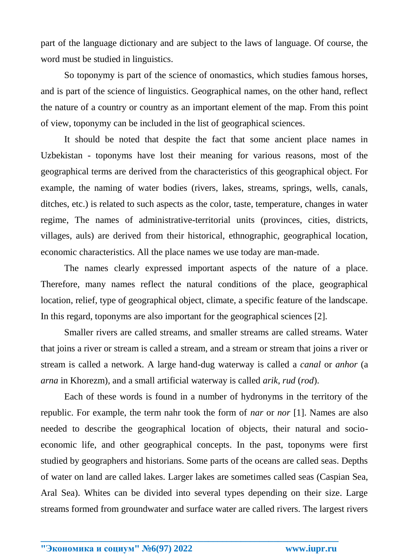part of the language dictionary and are subject to the laws of language. Of course, the word must be studied in linguistics.

So toponymy is part of the science of onomastics, which studies famous horses, and is part of the science of linguistics. Geographical names, on the other hand, reflect the nature of a country or country as an important element of the map. From this point of view, toponymy can be included in the list of geographical sciences.

It should be noted that despite the fact that some ancient place names in Uzbekistan - toponyms have lost their meaning for various reasons, most of the geographical terms are derived from the characteristics of this geographical object. For example, the naming of water bodies (rivers, lakes, streams, springs, wells, canals, ditches, etc.) is related to such aspects as the color, taste, temperature, changes in water regime, The names of administrative-territorial units (provinces, cities, districts, villages, auls) are derived from their historical, ethnographic, geographical location, economic characteristics. All the place names we use today are man-made.

The names clearly expressed important aspects of the nature of a place. Therefore, many names reflect the natural conditions of the place, geographical location, relief, type of geographical object, climate, a specific feature of the landscape. In this regard, toponyms are also important for the geographical sciences [2].

Smaller rivers are called streams, and smaller streams are called streams. Water that joins a river or stream is called a stream, and a stream or stream that joins a river or stream is called a network. A large hand-dug waterway is called a *canal* or *anhor* (a *arna* in Khorezm), and a small artificial waterway is called *arik*, *rud* (*rod*).

Each of these words is found in a number of hydronyms in the territory of the republic. For example, the term nahr took the form of *nar* or *nor* [1]. Names are also needed to describe the geographical location of objects, their natural and socioeconomic life, and other geographical concepts. In the past, toponyms were first studied by geographers and historians. Some parts of the oceans are called seas. Depths of water on land are called lakes. Larger lakes are sometimes called seas (Caspian Sea, Aral Sea). Whites can be divided into several types depending on their size. Large streams formed from groundwater and surface water are called rivers. The largest rivers

**\_\_\_\_\_\_\_\_\_\_\_\_\_\_\_\_\_\_\_\_\_\_\_\_\_\_\_\_\_\_\_\_\_\_\_\_\_\_\_\_\_\_\_\_\_\_\_\_\_\_\_\_\_\_\_\_\_\_\_\_\_\_\_\_**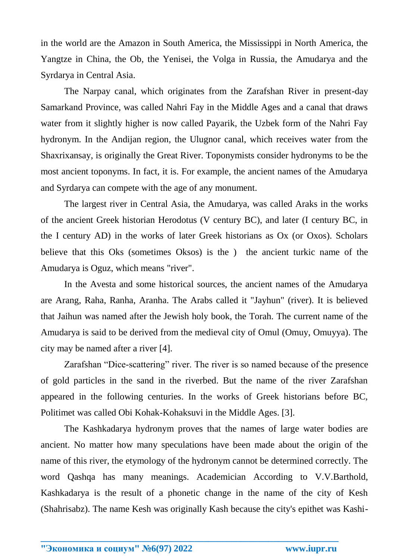in the world are the Amazon in South America, the Mississippi in North America, the Yangtze in China, the Ob, the Yenisei, the Volga in Russia, the Amudarya and the Syrdarya in Central Asia.

The Narpay canal, which originates from the Zarafshan River in present-day Samarkand Province, was called Nahri Fay in the Middle Ages and a canal that draws water from it slightly higher is now called Payarik, the Uzbek form of the Nahri Fay hydronym. In the Andijan region, the Ulugnor canal, which receives water from the Shaxrixansay, is originally the Great River. Toponymists consider hydronyms to be the most ancient toponyms. In fact, it is. For example, the ancient names of the Amudarya and Syrdarya can compete with the age of any monument.

The largest river in Central Asia, the Amudarya, was called Araks in the works of the ancient Greek historian Herodotus (V century BC), and later (I century BC, in the I century AD) in the works of later Greek historians as Ox (or Oxos). Scholars believe that this Oks (sometimes Oksos) is the ) the ancient turkic name of the Amudarya is Oguz, which means "river".

In the Avesta and some historical sources, the ancient names of the Amudarya are Arang, Raha, Ranha, Aranha. The Arabs called it "Jayhun" (river). It is believed that Jaihun was named after the Jewish holy book, the Torah. The current name of the Amudarya is said to be derived from the medieval city of Omul (Omuy, Omuyya). The city may be named after a river [4].

Zarafshan "Dice-scattering" river. The river is so named because of the presence of gold particles in the sand in the riverbed. But the name of the river Zarafshan appeared in the following centuries. In the works of Greek historians before BC, Politimet was called Obi Kohak-Kohaksuvi in the Middle Ages. [3].

The Kashkadarya hydronym proves that the names of large water bodies are ancient. No matter how many speculations have been made about the origin of the name of this river, the etymology of the hydronym cannot be determined correctly. The word Qashqa has many meanings. Academician According to V.V.Barthold, Kashkadarya is the result of a phonetic change in the name of the city of Kesh (Shahrisabz). The name Kesh was originally Kash because the city's epithet was Kashi-

**\_\_\_\_\_\_\_\_\_\_\_\_\_\_\_\_\_\_\_\_\_\_\_\_\_\_\_\_\_\_\_\_\_\_\_\_\_\_\_\_\_\_\_\_\_\_\_\_\_\_\_\_\_\_\_\_\_\_\_\_\_\_\_\_**